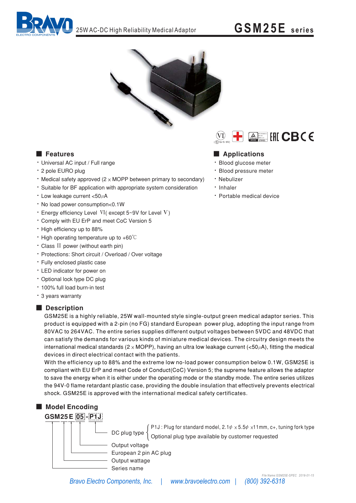



## **E** Features

- · Universal AC input / Full range
- \* 2 pole EURO plug
- Medical safety approved  $(2 \times \text{MOPP}$  between primary to secondary)
- \* Suitable for BF application with appropriate system consideration
- Low leakage current <50µA
- . No load power consumption<0.1W
- **· Energy efficiency Level VI** (except  $5 \sim 9V$  for Level V)
- \* Comply with EU ErP and meet CoC Version 5
- High efficiency up to 88%
- High operating temperature up to  $+60^{\circ}$ C
- · Class II power (without earth pin)
- · Protections: Short circuit / Overload / Over voltage
- · Fully enclosed plastic case
- LED indicator for power on
- · Optional lock type DC plug
- · 100% full load burn-in test
- \* 3 years warranty

### Description

GSM25E is a highly reliable, 25W wall-mounted style single-output green medical adaptor series. This product is equipped with a 2-pin (no FG) standard European power plug, adopting the input range from 80VAC to 264VAC. The entire series supplies different output voltages between 5VDC and 48VDC that can satisfy the demands for various kinds of miniature medical devices. The circuitry design meets the international medical standards ( $2 \times \text{MOPP}$ ), having an ultra low leakage current (<50 $\mu$ A), fitting the medical devices in direct electrical contact with the patients.

With the efficiency up to 88% and the extreme low no-load power consumption below 0.1W, GSM25E is compliant with EU ErP and meet Code of Conduct(CoC) Version 5; the supreme feature allows the adaptor to save the energy when it is either under the operating mode or the standby mode. The entire series utilizes the 94V-0 flame retardant plastic case, providing the double insulation that effectively prevents electrical shock. GSM25E is approved with the international medical safety certificates.



DC plug type  $\left\{\begin{array}{l} \mathsf{P1J:} \mathsf{Plug} \text{ for standard model, } 2.1\psi \times 5.5\psi \times 11\mathsf{mm}, \text{c+, tuning fork type} \\ \text{Optional plug type available by customer requested} \end{array}\right.$ 

Output voltage European 2 pin AC plug Output wattage

Series name

Bravo Electro Components, Inc. | www.bravoelectro.com |



## Applications

- · Blood glucose meter
- · Blood pressure meter
- · Nebulizer
- · Inhaler
- · Portable medical device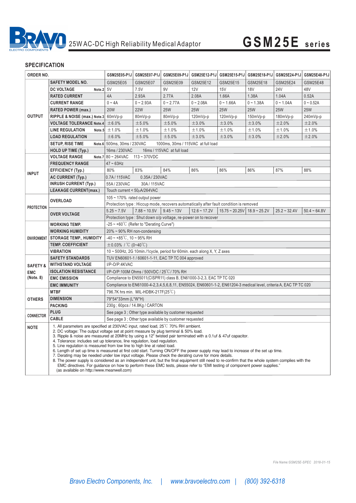

# 25W AC-DC High Reliability Medical Adaptor **GSM25E series**

| ORDER NO.                                      |                                                                                                                                                                                                                                                                                                                                                                                                                                                                                                                                                                                                                                                                                                                                                                                                                                                                                                                                                                                                                                                 | GSM25E05-P1J                                                                                                                  | GSM25E07-P1J    | GSM25E09-P1J                                            | GSM25E12-P1J   | GSM25E15-P1J        |                | GSM25E18-P1J GSM25E24-P1J | GSM25E48-P1J    |
|------------------------------------------------|-------------------------------------------------------------------------------------------------------------------------------------------------------------------------------------------------------------------------------------------------------------------------------------------------------------------------------------------------------------------------------------------------------------------------------------------------------------------------------------------------------------------------------------------------------------------------------------------------------------------------------------------------------------------------------------------------------------------------------------------------------------------------------------------------------------------------------------------------------------------------------------------------------------------------------------------------------------------------------------------------------------------------------------------------|-------------------------------------------------------------------------------------------------------------------------------|-----------------|---------------------------------------------------------|----------------|---------------------|----------------|---------------------------|-----------------|
|                                                | <b>SAFETY MODEL NO.</b>                                                                                                                                                                                                                                                                                                                                                                                                                                                                                                                                                                                                                                                                                                                                                                                                                                                                                                                                                                                                                         | GSM25E05                                                                                                                      | <b>GSM25E07</b> | GSM25E09                                                | GSM25E12       | GSM25E15            | GSM25E18       | GSM25E24                  | <b>GSM25E48</b> |
| <b>OUTPUT</b>                                  | <b>DC VOLTAGE</b><br>Note.2 5V                                                                                                                                                                                                                                                                                                                                                                                                                                                                                                                                                                                                                                                                                                                                                                                                                                                                                                                                                                                                                  |                                                                                                                               | 7.5V            | 9V                                                      | 12V            | 15V                 | <b>18V</b>     | <b>24V</b>                | 48V             |
|                                                | <b>RATED CURRENT</b>                                                                                                                                                                                                                                                                                                                                                                                                                                                                                                                                                                                                                                                                                                                                                                                                                                                                                                                                                                                                                            | 4A                                                                                                                            | 2.93A           | 2.77A                                                   | 2.08A          | 1.66A               | 1.38A          | 1.04A                     | 0.52A           |
|                                                | <b>CURRENT RANGE</b>                                                                                                                                                                                                                                                                                                                                                                                                                                                                                                                                                                                                                                                                                                                                                                                                                                                                                                                                                                                                                            | $0 - 4A$                                                                                                                      | $0 - 2.93A$     | $0 - 2.77A$                                             | $0 - 2.08A$    | $0 - 1.66A$         | $0 - 1.38A$    | $0 - 1.04A$               | $0 - 0.52A$     |
|                                                | <b>RATED POWER (max.)</b>                                                                                                                                                                                                                                                                                                                                                                                                                                                                                                                                                                                                                                                                                                                                                                                                                                                                                                                                                                                                                       | <b>20W</b>                                                                                                                    | <b>22W</b>      | <b>25W</b>                                              | <b>25W</b>     | <b>25W</b>          | <b>25W</b>     | <b>25W</b>                | <b>25W</b>      |
|                                                | RIPPLE & NOISE (max.) Note.3                                                                                                                                                                                                                                                                                                                                                                                                                                                                                                                                                                                                                                                                                                                                                                                                                                                                                                                                                                                                                    | 60mVp-p                                                                                                                       | 80mVp-p         | 80mVp-p                                                 | 120mVp-p       | 120mVp-p            | 150mVp-p       | 180mVp-p                  | 240mVp-p        |
|                                                | <b>VOLTAGE TOLERANCE Note.4</b>                                                                                                                                                                                                                                                                                                                                                                                                                                                                                                                                                                                                                                                                                                                                                                                                                                                                                                                                                                                                                 | ± 6.0%                                                                                                                        | ±5.0%           | ±5.0%                                                   | ±3.0%          | ±3.0%               | ±3.0%          | ±2.0%                     | ±2.0%           |
|                                                | <b>LINE REGULATION</b><br>Note.5                                                                                                                                                                                                                                                                                                                                                                                                                                                                                                                                                                                                                                                                                                                                                                                                                                                                                                                                                                                                                | ±1.0%                                                                                                                         | ±1.0%           | ±1.0%                                                   | ±1.0%          | ±1.0%               | ±1.0%          | ±1.0%                     | ±1.0%           |
|                                                | <b>LOAD REGULATION</b>                                                                                                                                                                                                                                                                                                                                                                                                                                                                                                                                                                                                                                                                                                                                                                                                                                                                                                                                                                                                                          | ± 6.0%                                                                                                                        | ±5.0%           | ±5.0%                                                   | ±3.0%          | ±3.0%               | ±3.0%          | ±2.0%                     | ±2.0%           |
|                                                | <b>SETUP, RISE TIME</b>                                                                                                                                                                                                                                                                                                                                                                                                                                                                                                                                                                                                                                                                                                                                                                                                                                                                                                                                                                                                                         |                                                                                                                               |                 |                                                         |                |                     |                |                           |                 |
|                                                | <b>HOLD UP TIME (Typ.)</b>                                                                                                                                                                                                                                                                                                                                                                                                                                                                                                                                                                                                                                                                                                                                                                                                                                                                                                                                                                                                                      | Note.6 500ms, 30ms / 230VAC<br>1000ms, 30ms / 115VAC at full load<br>16ms / 230VAC<br>16ms / 115VAC at full load              |                 |                                                         |                |                     |                |                           |                 |
|                                                | <b>VOLTAGE RANGE</b>                                                                                                                                                                                                                                                                                                                                                                                                                                                                                                                                                                                                                                                                                                                                                                                                                                                                                                                                                                                                                            | Note.7 $80 \sim 264$ VAC<br>$113 - 370$ VDC                                                                                   |                 |                                                         |                |                     |                |                           |                 |
| <b>INPUT</b>                                   | <b>FREQUENCY RANGE</b>                                                                                                                                                                                                                                                                                                                                                                                                                                                                                                                                                                                                                                                                                                                                                                                                                                                                                                                                                                                                                          | $47 - 63$ Hz                                                                                                                  |                 |                                                         |                |                     |                |                           |                 |
|                                                | <b>EFFICIENCY (Typ.)</b>                                                                                                                                                                                                                                                                                                                                                                                                                                                                                                                                                                                                                                                                                                                                                                                                                                                                                                                                                                                                                        | 80%                                                                                                                           | 83%             | 84%                                                     | 86%            | 86%                 | 86%            | 87%                       | 88%             |
|                                                | <b>AC CURRENT (Typ.)</b>                                                                                                                                                                                                                                                                                                                                                                                                                                                                                                                                                                                                                                                                                                                                                                                                                                                                                                                                                                                                                        | 0.7A/115VAC                                                                                                                   | 0.35A/230VAC    |                                                         |                |                     |                |                           |                 |
|                                                | <b>INRUSH CURRENT (Typ.)</b>                                                                                                                                                                                                                                                                                                                                                                                                                                                                                                                                                                                                                                                                                                                                                                                                                                                                                                                                                                                                                    | 55A/230VAC<br>30A/115VAC                                                                                                      |                 |                                                         |                |                     |                |                           |                 |
|                                                | <b>LEAKAGE CURRENT(max.)</b>                                                                                                                                                                                                                                                                                                                                                                                                                                                                                                                                                                                                                                                                                                                                                                                                                                                                                                                                                                                                                    | Touch current < 50uA/264VAC                                                                                                   |                 |                                                         |                |                     |                |                           |                 |
|                                                | <b>OVERLOAD</b>                                                                                                                                                                                                                                                                                                                                                                                                                                                                                                                                                                                                                                                                                                                                                                                                                                                                                                                                                                                                                                 |                                                                                                                               |                 |                                                         |                |                     |                |                           |                 |
| <b>PROTECTION</b>                              |                                                                                                                                                                                                                                                                                                                                                                                                                                                                                                                                                                                                                                                                                                                                                                                                                                                                                                                                                                                                                                                 | $105 \sim 170\%$ rated output power<br>Protection type : Hiccup mode, recovers automatically after fault condition is removed |                 |                                                         |                |                     |                |                           |                 |
|                                                | <b>OVER VOLTAGE</b>                                                                                                                                                                                                                                                                                                                                                                                                                                                                                                                                                                                                                                                                                                                                                                                                                                                                                                                                                                                                                             | $5.25 - 7.5V$                                                                                                                 | $7.88 - 10.5V$  | $9.45 - 13V$                                            | $12.6 - 17.2V$ | $15.75 \sim 20.25V$ | $18.9 - 25.2V$ | $25.2 - 32.4V$            | $50.4 - 64.8V$  |
|                                                |                                                                                                                                                                                                                                                                                                                                                                                                                                                                                                                                                                                                                                                                                                                                                                                                                                                                                                                                                                                                                                                 |                                                                                                                               |                 |                                                         |                |                     |                |                           |                 |
| <b>ENVIRONMENT</b>                             | <b>WORKING TEMP.</b>                                                                                                                                                                                                                                                                                                                                                                                                                                                                                                                                                                                                                                                                                                                                                                                                                                                                                                                                                                                                                            | Protection type: Shut down o/p voltage, re-power on to recover<br>$-25 \sim +60^{\circ}$ (Refer to "Derating Curve")          |                 |                                                         |                |                     |                |                           |                 |
|                                                | <b>WORKING HUMIDITY</b>                                                                                                                                                                                                                                                                                                                                                                                                                                                                                                                                                                                                                                                                                                                                                                                                                                                                                                                                                                                                                         | 20% ~ 90% RH non-condensing                                                                                                   |                 |                                                         |                |                     |                |                           |                 |
|                                                | <b>STORAGE TEMP., HUMIDITY</b>                                                                                                                                                                                                                                                                                                                                                                                                                                                                                                                                                                                                                                                                                                                                                                                                                                                                                                                                                                                                                  | $-40 \sim +85^{\circ}$ C, 10 ~ 95% RH                                                                                         |                 |                                                         |                |                     |                |                           |                 |
|                                                | <b>TEMP. COEFFICIENT</b>                                                                                                                                                                                                                                                                                                                                                                                                                                                                                                                                                                                                                                                                                                                                                                                                                                                                                                                                                                                                                        | $\pm 0.03\%$ / °C (0~40°C)                                                                                                    |                 |                                                         |                |                     |                |                           |                 |
|                                                | <b>VIBRATION</b>                                                                                                                                                                                                                                                                                                                                                                                                                                                                                                                                                                                                                                                                                                                                                                                                                                                                                                                                                                                                                                | 10 ~ 500Hz, 2G 10min./1cycle, period for 60min. each along X, Y, Z axes                                                       |                 |                                                         |                |                     |                |                           |                 |
| <b>SAFETY &amp;</b><br><b>EMC</b><br>(Note. 8) | <b>SAFETY STANDARDS</b>                                                                                                                                                                                                                                                                                                                                                                                                                                                                                                                                                                                                                                                                                                                                                                                                                                                                                                                                                                                                                         | TUV EN60601-1 / 60601-1-11, EAC TP TC 004 approved                                                                            |                 |                                                         |                |                     |                |                           |                 |
|                                                | <b>WITHSTAND VOLTAGE</b>                                                                                                                                                                                                                                                                                                                                                                                                                                                                                                                                                                                                                                                                                                                                                                                                                                                                                                                                                                                                                        | I/P-O/P:4KVAC                                                                                                                 |                 |                                                         |                |                     |                |                           |                 |
|                                                | <b>ISOLATION RESISTANCE</b>                                                                                                                                                                                                                                                                                                                                                                                                                                                                                                                                                                                                                                                                                                                                                                                                                                                                                                                                                                                                                     | I/P-O/P:100M Ohms / 500VDC / 25°C/70% RH                                                                                      |                 |                                                         |                |                     |                |                           |                 |
|                                                | <b>EMC EMISSION</b>                                                                                                                                                                                                                                                                                                                                                                                                                                                                                                                                                                                                                                                                                                                                                                                                                                                                                                                                                                                                                             | Compliance to EN55011(CISPR11) class B, EN61000-3-2,3, EAC TP TC 020                                                          |                 |                                                         |                |                     |                |                           |                 |
|                                                | <b>EMC IMMUNITY</b>                                                                                                                                                                                                                                                                                                                                                                                                                                                                                                                                                                                                                                                                                                                                                                                                                                                                                                                                                                                                                             | Compliance to EN61000-4-2,3,4,5,6,8,11, EN55024, EN60601-1-2, EN61204-3 medical level, criteria A, EAC TP TC 020              |                 |                                                         |                |                     |                |                           |                 |
| <b>OTHERS</b>                                  | <b>MTBF</b>                                                                                                                                                                                                                                                                                                                                                                                                                                                                                                                                                                                                                                                                                                                                                                                                                                                                                                                                                                                                                                     | 796.7K hrs min. MIL-HDBK-217F(25 $\degree$ C)                                                                                 |                 |                                                         |                |                     |                |                           |                 |
|                                                | <b>DIMENSION</b>                                                                                                                                                                                                                                                                                                                                                                                                                                                                                                                                                                                                                                                                                                                                                                                                                                                                                                                                                                                                                                | 79*54*33mm (L*W*H)                                                                                                            |                 |                                                         |                |                     |                |                           |                 |
|                                                | <b>PACKING</b>                                                                                                                                                                                                                                                                                                                                                                                                                                                                                                                                                                                                                                                                                                                                                                                                                                                                                                                                                                                                                                  | 230g; 60pcs / 14.8Kg / CARTON                                                                                                 |                 |                                                         |                |                     |                |                           |                 |
| CONNECTOR                                      | <b>PLUG</b>                                                                                                                                                                                                                                                                                                                                                                                                                                                                                                                                                                                                                                                                                                                                                                                                                                                                                                                                                                                                                                     | See page 3 : Other type available by customer requested                                                                       |                 |                                                         |                |                     |                |                           |                 |
|                                                | <b>CABLE</b>                                                                                                                                                                                                                                                                                                                                                                                                                                                                                                                                                                                                                                                                                                                                                                                                                                                                                                                                                                                                                                    |                                                                                                                               |                 | See page 3 : Other type available by customer requested |                |                     |                |                           |                 |
| <b>NOTE</b>                                    | 1. All parameters are specified at 230VAC input, rated load, 25 <sup>°</sup> C 70% RH ambient.<br>2. DC voltage: The output voltage set at point measure by plug terminal & 50% load.<br>3. Ripple & noise are measured at 20MHz by using a 12" twisted pair terminated with a 0.1uf & 47uf capacitor.<br>4. Tolerance: includes set up tolerance, line regulation, load regulation.<br>5. Line regulation is measured from low line to high line at rated load.<br>6. Length of set up time is measured at first cold start. Turning ON/OFF the power supply may lead to increase of the set up time.<br>7. Derating may be needed under low input voltage. Please check the derating curve for more details.<br>8. The power supply is considered as an independent unit, but the final equipment still need to re-confirm that the whole system complies with the<br>EMC directives. For quidance on how to perform these EMC tests, please refer to "EMI testing of component power supplies."<br>(as available on http://www.meanwell.com) |                                                                                                                               |                 |                                                         |                |                     |                |                           |                 |